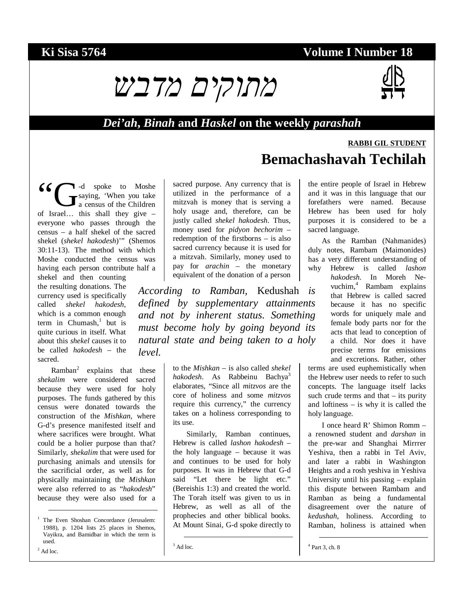## **Ki Sisa 5764 Volume I Number 18**





#### *Dei'ah***,** *Binah* **and** *Haskel* **on the weekly** *parashah*

# **RABBI GIL STUDENT Bemachashavah Techilah**

-d spoke to Moshe saying, 'When you take a census of the Children 6 C comparison of Israel... this shall they give – everyone who passes through the census – a half shekel of the sacred shekel (*shekel hakodesh*)'" (Shemos 30:11-13). The method with which Moshe conducted the census was having each person contribute half a

shekel and then counting the resulting donations. The currency used is specifically called *shekel hakodesh*, which is a common enough term in Chumash, $\frac{1}{1}$  but is quite curious in itself. What about this *shekel* causes it to be called *hakodesh* – the sacred.

Ramban<sup>2</sup> explains that these *shekalim* were considered sacred because they were used for holy purposes. The funds gathered by this census were donated towards the construction of the *Mishkan*, where G-d's presence manifested itself and where sacrifices were brought. What could be a holier purpose than that? Similarly, *shekalim* that were used for purchasing animals and utensils for the sacrificial order, as well as for physically maintaining the *Mishkan* were also referred to as "*hakodesh*" because they were also used for a

 1 The Even Shoshan Concordance (Jerusalem: 1988), p. 1204 lists 25 places in Shemos, Vayikra, and Bamidbar in which the term is used.

 $2$  Ad loc.

sacred purpose. Any currency that is utilized in the performance of a mitzvah is money that is serving a holy usage and, therefore, can be justly called *shekel hakodesh*. Thus, money used for *pidyon bechorim* – redemption of the firstborns – is also sacred currency because it is used for a mitzvah. Similarly, money used to pay for *arachin* – the monetary equivalent of the donation of a person

*According to Ramban,* Kedushah *is defined by supplementary attainments and not by inherent status. Something must become holy by going beyond its natural state and being taken to a holy level.* 

> to the *Mishkan* – is also called *shekel hakodesh*. As Rabbeinu Bachya<sup>3</sup> elaborates, "Since all *mitzvos* are the core of holiness and some *mitzvos* require this currency," the currency takes on a holiness corresponding to its use.

> Similarly, Ramban continues, Hebrew is called *lashon hakodesh* – the holy language – because it was and continues to be used for holy purposes. It was in Hebrew that G-d said "Let there be light etc." (Bereishis 1:3) and created the world. The Torah itself was given to us in Hebrew, as well as all of the prophecies and other biblical books. At Mount Sinai, G-d spoke directly to

the entire people of Israel in Hebrew and it was in this language that our forefathers were named. Because Hebrew has been used for holy purposes it is considered to be a sacred language.

As the Ramban (Nahmanides) duly notes, Rambam (Maimonides) has a very different understanding of why Hebrew is called *lashon* 

*hakodesh*. In Moreh Nevuchim,<sup>4</sup> Rambam explains that Hebrew is called sacred because it has no specific words for uniquely male and female body parts nor for the acts that lead to conception of a child. Nor does it have precise terms for emissions and excretions. Rather, other

terms are used euphemistically when the Hebrew user needs to refer to such concepts. The language itself lacks such crude terms and that  $-$  its purity and loftiness – is why it is called the holy language.

I once heard R' Shimon Romm – a renowned student and *darshan* in the pre-war and Shanghai Mirrrer Yeshiva, then a rabbi in Tel Aviv, and later a rabbi in Washington Heights and a rosh yeshiva in Yeshiva University until his passing – explain this dispute between Rambam and Ramban as being a fundamental disagreement over the nature of *kedushah*, holiness. According to Ramban, holiness is attained when

4 Part 3, ch. 8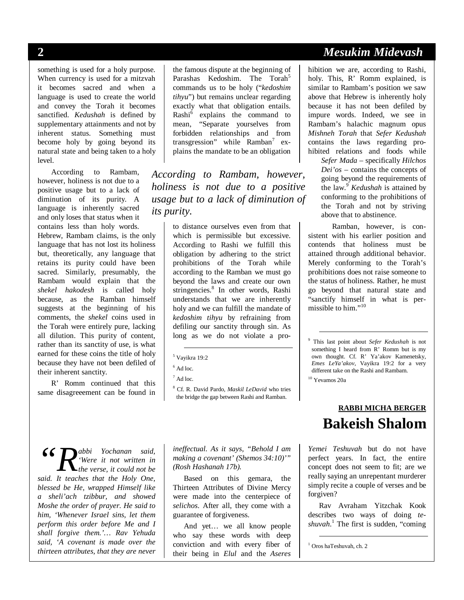something is used for a holy purpose. When currency is used for a mitzvah it becomes sacred and when a language is used to create the world and convey the Torah it becomes sanctified. *Kedushah* is defined by supplementary attainments and not by inherent status. Something must become holy by going beyond its natural state and being taken to a holy level.

According to Rambam, however, holiness is not due to a positive usage but to a lack of diminution of its purity. A language is inherently sacred and only loses that status when it contains less than holy words.

Hebrew, Rambam claims, is the only language that has not lost its holiness but, theoretically, any language that retains its purity could have been sacred. Similarly, presumably, the Rambam would explain that the *shekel hakodesh* is called holy because, as the Ramban himself suggests at the beginning of his comments, the *shekel* coins used in the Torah were entirely pure, lacking all dilution. This purity of content, rather than its sanctity of use, is what earned for these coins the title of holy because they have not been defiled of their inherent sanctity.

R' Romm continued that this same disagreeement can be found in

the famous dispute at the beginning of Parashas Kedoshim. The Torah<sup>5</sup> commands us to be holy ("*kedoshim tihyu*") but remains unclear regarding exactly what that obligation entails. Rashi<sup>6</sup> explains the command to mean, "Separate yourselves from forbidden relationships and from transgression" while Ramban<sup>7</sup> explains the mandate to be an obligation

*According to Rambam, however, holiness is not due to a positive usage but to a lack of diminution of its purity.* 

> to distance ourselves even from that which is permissible but excessive. According to Rashi we fulfill this obligation by adhering to the strict prohibitions of the Torah while according to the Ramban we must go beyond the laws and create our own stringencies.<sup>8</sup> In other words, Rashi understands that we are inherently holy and we can fulfill the mandate of *kedoshim tihyu* by refraining from defiling our sanctity through sin. As long as we do not violate a pro-

*abbi Yochanan said, 'Were it not written in the verse, it could not be said. R*<sup>*abbi*</sup> *Yochanan said, the verse, it could not be said.* It teaches that the Holy One, *blessed be He, wrapped Himself like a sheli'ach tzibbur, and showed Moshe the order of prayer. He said to him, 'Whenever Israel sins, let them perform this order before Me and I shall forgive them.'… Rav Yehuda said, 'A covenant is made over the thirteen attributes, that they are never* 

*ineffectual. As it says, "Behold I am making a covenant' (Shemos 34:10)'" (Rosh Hashanah 17b).*

Based on this gemara, the Thirteen Attributes of Divine Mercy were made into the centerpiece of *selichos*. After all, they come with a guarantee of forgiveness.

And yet… we all know people who say these words with deep conviction and with every fiber of their being in *Elul* and the *Aseres* 

# **2** *Mesukim Midevash*

hibition we are, according to Rashi, holy. This, R' Romm explained, is similar to Rambam's position we saw above that Hebrew is inherently holy because it has not been defiled by impure words. Indeed, we see in Rambam's halachic magnum opus *Mishneh Torah* that *Sefer Kedushah* contains the laws regarding prohibited relations and foods while

> *Sefer Mada* – specifically *Hilchos Dei'os* – contains the concepts of going beyond the requirements of the law.<sup>9</sup> *Kedushah* is attained by conforming to the prohibitions of the Torah and not by striving above that to abstinence.

Ramban, however, is consistent with his earlier position and contends that holiness must be attained through additional behavior. Merely conforming to the Torah's prohibitions does not raise someone to the status of holiness. Rather, he must go beyond that natural state and "sanctify himself in what is permissible to him."<sup>10</sup>

10 Yevamos 20a

# **RABBI MICHA BERGER Bakeish Shalom**

*Yemei Teshuvah* but do not have perfect years. In fact, the entire concept does not seem to fit; are we really saying an unrepentant murderer simply recite a couple of verses and be forgiven?

Rav Avraham Yitzchak Kook describes two ways of doing *teshuvah*. 1 The first is sudden, "coming

1 Oros haTeshuvah, ch. 2

 <sup>5</sup> Vayikra 19:2

 $<sup>6</sup>$  Ad loc.</sup>

 $^7$  Ad loc.

<sup>8</sup> Cf. R. David Pardo, *Maskil LeDavid* who tries the bridge the gap between Rashi and Ramban.

 <sup>9</sup> This last point about *Sefer Kedushah* is not something I heard from R' Romm but is my own thought. Cf. R' Ya'akov Kamenetsky, *Emes LeYa'akov*, Vayikra 19:2 for a very different take on the Rashi and Rambam.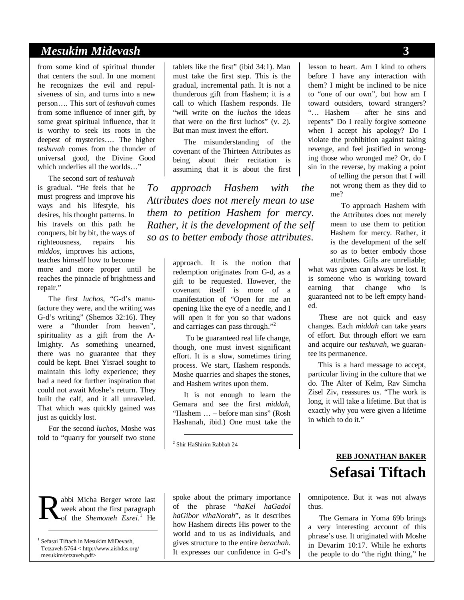### *Mesukim Midevash* **3**

from some kind of spiritual thunder that centers the soul. In one moment he recognizes the evil and repulsiveness of sin, and turns into a new person…. This sort of *teshuvah* comes from some influence of inner gift, by some great spiritual influence, that it is worthy to seek its roots in the deepest of mysteries…. The higher *teshuvah* comes from the thunder of universal good, the Divine Good which underlies all the worlds..."

The second sort of *teshuvah* is gradual. "He feels that he must progress and improve his ways and his lifestyle, his desires, his thought patterns. In his travels on this path he conquers, bit by bit, the ways of righteousness, repairs his *middos*, improves his actions, teaches himself how to become more and more proper until he

reaches the pinnacle of brightness and repair."

The first *luchos*, "G-d's manufacture they were, and the writing was G-d's writing" (Shemos 32:16). They were a "thunder from heaven", spirituality as a gift from the Almighty. As something unearned, there was no guarantee that they could be kept. Bnei Yisrael sought to maintain this lofty experience; they had a need for further inspiration that could not await Moshe's return. They built the calf, and it all unraveled. That which was quickly gained was just as quickly lost.

For the second *luchos*, Moshe was told to "quarry for yourself two stone

abbi Micha Berger wrote last week about the first paragraph of the *Shemoneh Esrei*.<sup>1</sup> He R

<sup>1</sup> Sefasai Tiftach in Mesukim MiDevash, Tetzaveh 5764 < http://www.aishdas.org/ mesukim/tetzaveh.pdf>

-

tablets like the first" (ibid 34:1). Man must take the first step. This is the gradual, incremental path. It is not a thunderous gift from Hashem; it is a call to which Hashem responds. He "will write on the *luchos* the ideas that were on the first luchos" (v. 2). But man must invest the effort.

The misunderstanding of the covenant of the Thirteen Attributes as being about their recitation is assuming that it is about the first

*To approach Hashem with the Attributes does not merely mean to use them to petition Hashem for mercy. Rather, it is the development of the self so as to better embody those attributes.*

> approach. It is the notion that redemption originates from G-d, as a gift to be requested. However, the covenant itself is more of a manifestation of "Open for me an opening like the eye of a needle, and I will open it for you so that wadons and carriages can pass through."<sup>2</sup>

 To be guaranteed real life change, though, one must invest significant effort. It is a slow, sometimes tiring process. We start, Hashem responds. Moshe quarries and shapes the stones, and Hashem writes upon them.

It is not enough to learn the Gemara and see the first *middah*, "Hashem … – before man sins" (Rosh Hashanah, ibid.) One must take the

2 Shir HaShirim Rabbah 24

spoke about the primary importance of the phrase "*haKel haGadol haGibor vihaNorah*", as it describes how Hashem directs His power to the world and to us as individuals, and gives structure to the entire *berachah*. It expresses our confidence in G-d's lesson to heart. Am I kind to others before I have any interaction with them? I might be inclined to be nice to "one of our own", but how am I toward outsiders, toward strangers? "… Hashem – after he sins and repents" Do I really forgive someone when I accept his apology? Do I violate the prohibition against taking revenge, and feel justified in wronging those who wronged me? Or, do I sin in the reverse, by making a point

> of telling the person that I will not wrong them as they did to me?

To approach Hashem with the Attributes does not merely mean to use them to petition Hashem for mercy. Rather, it is the development of the self so as to better embody those attributes. Gifts are unreliable;

what was given can always be lost. It is someone who is working toward earning that change who is guaranteed not to be left empty handed.

These are not quick and easy changes. Each *middah* can take years of effort. But through effort we earn and acquire our *teshuvah*, we guarantee its permanence.

This is a hard message to accept, particular living in the culture that we do. The Alter of Kelm, Rav Simcha Zisel Ziv, reassures us. "The work is long, it will take a lifetime. But that is exactly why you were given a lifetime in which to do it."

# **REB JONATHAN BAKER Sefasai Tiftach**

omnipotence. But it was not always thus.

The Gemara in Yoma 69b brings a very interesting account of this phrase's use. It originated with Moshe in Devarim 10:17. While he exhorts the people to do "the right thing," he